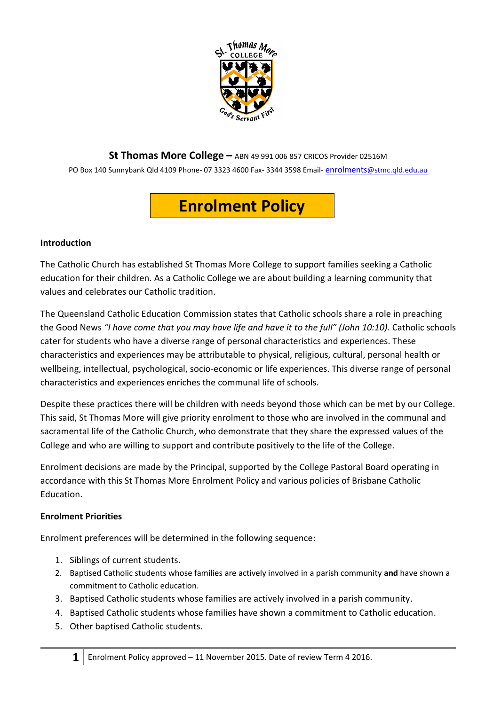

**St Thomas More College –** ABN 49 991 006 857 CRICOS Provider 02516M

PO Box 140 Sunnybank Qld 4109 Phone- 07 3323 4600 Fax- 3344 3598 Email- enrolments[@stmc.qld.edu.au](mailto:enrolments@stmc.qld.edu.au)

# **Enrolment Policy**

## **Introduction**

The Catholic Church has established St Thomas More College to support families seeking a Catholic education for their children. As a Catholic College we are about building a learning community that values and celebrates our Catholic tradition.

The Queensland Catholic Education Commission states that Catholic schools share a role in preaching the Good News "I have come that you may have life and have it to the full" (John 10:10). Catholic schools cater for students who have a diverse range of personal characteristics and experiences. These characteristics and experiences may be attributable to physical, religious, cultural, personal health or wellbeing, intellectual, psychological, socio-economic or life experiences. This diverse range of personal characteristics and experiences enriches the communal life of schools.

Despite these practices there will be children with needs beyond those which can be met by our College. This said, St Thomas More will give priority enrolment to those who are involved in the communal and sacramental life of the Catholic Church, who demonstrate that they share the expressed values of the College and who are willing to support and contribute positively to the life of the College.

Enrolment decisions are made by the Principal, supported by the College Pastoral Board operating in accordance with this St Thomas More Enrolment Policy and various policies of Brisbane Catholic Education.

## **Enrolment Priorities**

Enrolment preferences will be determined in the following sequence:

- 1. Siblings of current students.
- 2. Baptised Catholic students whose families are actively involved in a parish community **and** have shown a commitment to Catholic education.
- 3. Baptised Catholic students whose families are actively involved in a parish community.
- 4. Baptised Catholic students whose families have shown a commitment to Catholic education.
- 5. Other baptised Catholic students.